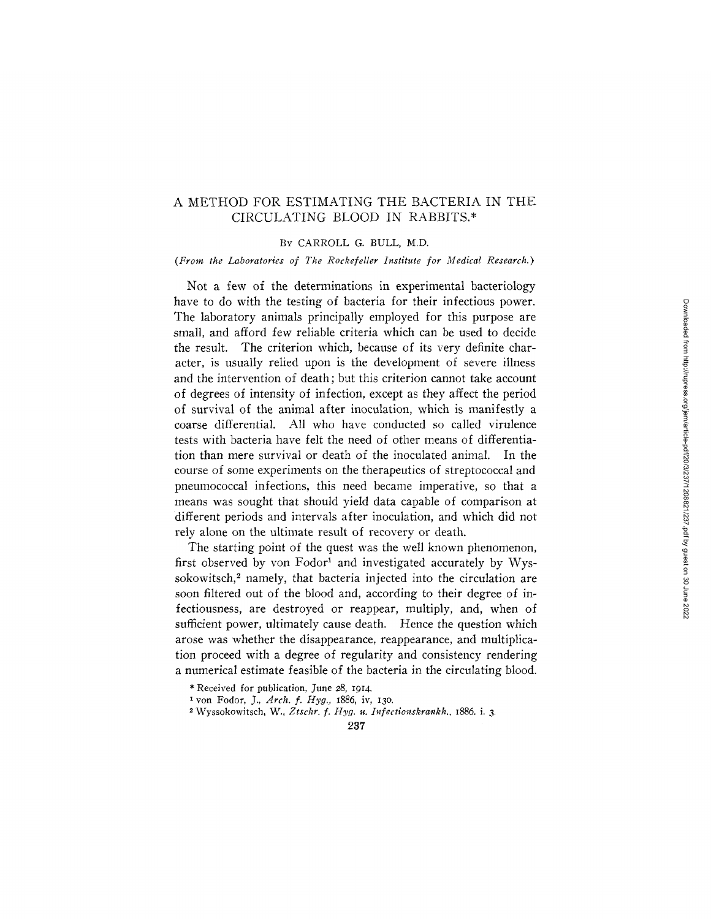# A METHOD FOR ESTIMATING THE BACTERIA IN THE CIRCULATING BLOOD IN RABBITS.\*

## BY CARROLL G. BULL, M.D.

*(From the Laboratories of The Rockefeller Institute for Medical Research.)* 

Not a few of the determinations in experimental bacteriology have to do with the testing of bacteria for their infectious power. The laboratory animals principally employed for this purpose are small, and afford few reliable criteria which can be used to decide the result. The criterion which, because of its very definite character, is usually relied upon is the development of severe illness and the intervention of death; but this criterion cannot take account of degrees of intensity of infection, except as they affect the period of survival of the animal after inoculation, which is manifestly a coarse differential. All who have conducted so called virulence tests with bacteria have felt the need of other means of differentiation than mere survival or death of the inoculated animal. In the course of some experiments on the therapeutics of streptococcal and pneumococcal infections, this need became imperative, so that a means was sought that should yield data capable of comparison at different periods and intervals after inoculation, and which did not rely alone on the ultimate result of recovery or death.

The starting point of the quest was the well known phenomenon, first observed by von  $\text{Fodor}^1$  and investigated accurately by Wyssokowitsch,<sup>2</sup> namely, that bacteria injected into the circulation are soon filtered out of the blood and, according to their degree of infectiousness, are destroyed or reappear, multiply, and, when of sufficient power, ultimately cause death. Hence the question which arose was whether the disappearance, reappearance, and multiplication proceed with a degree of regularity and consistency rendering a numerical estimate feasible of the bacteria in the circulating blood.

<sup>2</sup> Wyssokowitsch, W., Ztschr. f. Hyg. u. Infectionskrankh., 1886. i. 3.

237

<sup>\*</sup> Received for publication, June 28, 1914.

<sup>1</sup> yon Fodor, J., *Arch. f. Hyg.,* 1886, iv, I3O.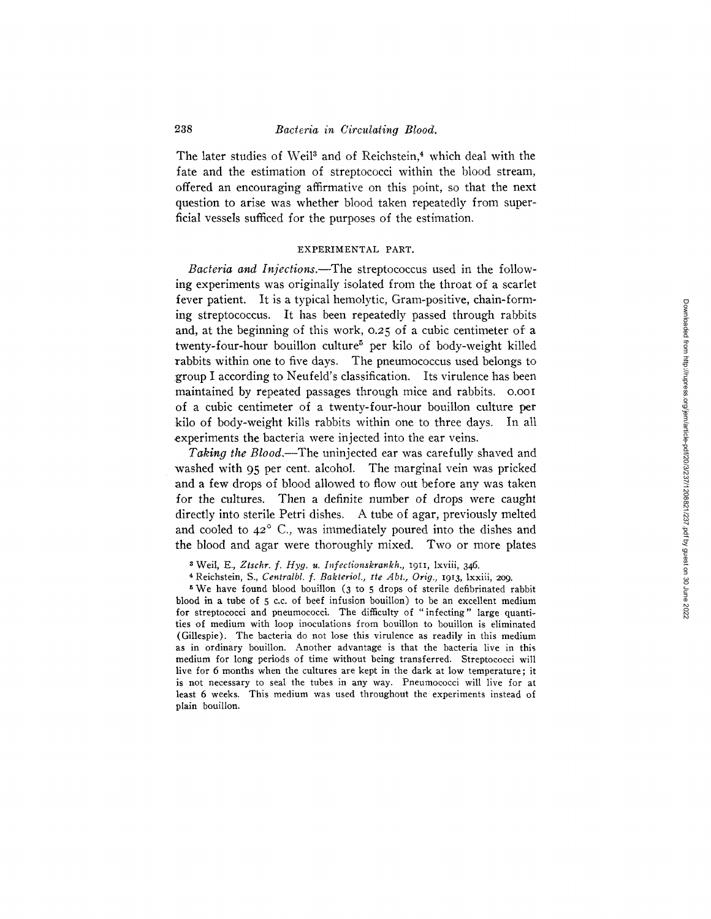The later studies of Weil<sup>3</sup> and of Reichstein.<sup>4</sup> which deal with the fate and the estimation of streptococci within the blood stream, offered an encouraging affirmative on this point, so that the next question to arise was whether blood taken repeatedly from superficial vessels sufficed for the purposes of the estimation.

### EXPERIMENTAL PART.

*Bacteria and Injections.--The* streptococcus used in the following experiments was originally isolated from the throat of a scarlet fever patient. It is a typical hemolytic, Gram-positive, chain-forming streptococcus. It has been repeatedly passed through rabbits and, at the beginning of this work, 0.25 of a cubic centimeter of a twenty-four-hour bouillon culture<sup>5</sup> per kilo of body-weight killed rabbits within one to five days. The pneumococcus used belongs to :group I according to Neufeld's classification. Its virulence has been maintained by repeated passages through mice and rabbits, o.ooi of a cubic centimeter of a twenty-four-hour bouillon culture per kilo of body-weight kills rabbits within one to three days. In all experiments the bacteria were injected into the ear veins.

*Taking the Blood,--The* uninjected ear was carefully shaved and washed with 95 per cent. alcohol. The marginal vein was pricked and a few drops of blood allowed to flow out before any was taken for the cultures. Then a definite number of drops were caught directly into sterile Petri dishes. A tube of agar, previously melted and cooled to  $42^{\circ}$  C., was immediately poured into the dishes and the blood and agar were thoroughly mixed. Two or more plates

5We have found blood bouillon (3 to 5 drops of sterile defibrinated rabbit blood in a tube of 5 c.c. of beef infusion bouillon) to be an excellent medium for streptococci and pneumococci. The difficulty of " infecting" large quantities of medium with loop inoculations from bouillon to bouillon is eliminated (Gillespie). The bacteria do not lose this virulence as readily in this medium as in ordinary bouillon. Another advantage is that the bacteria live in this medium for long periods of time without being transferred. Streptococci will live for 6 months when the cultures are kept in the dark at low temperature; it is not necessary to seal the tubes in any way. Pneumococci will live for at least 6 weeks. This medium was used throughout the experiments instead of plain bouillon.

<sup>8</sup> Well, E., *Ztschr. ~. Hyg. u. [nfectionskrankh.,* 1911, Ixviii, 346.

<sup>4</sup> Reichstein, S., *Centralbl. f. Bakteriol., zte Abt., Orig.,* 1913, lxxiii, 2o9.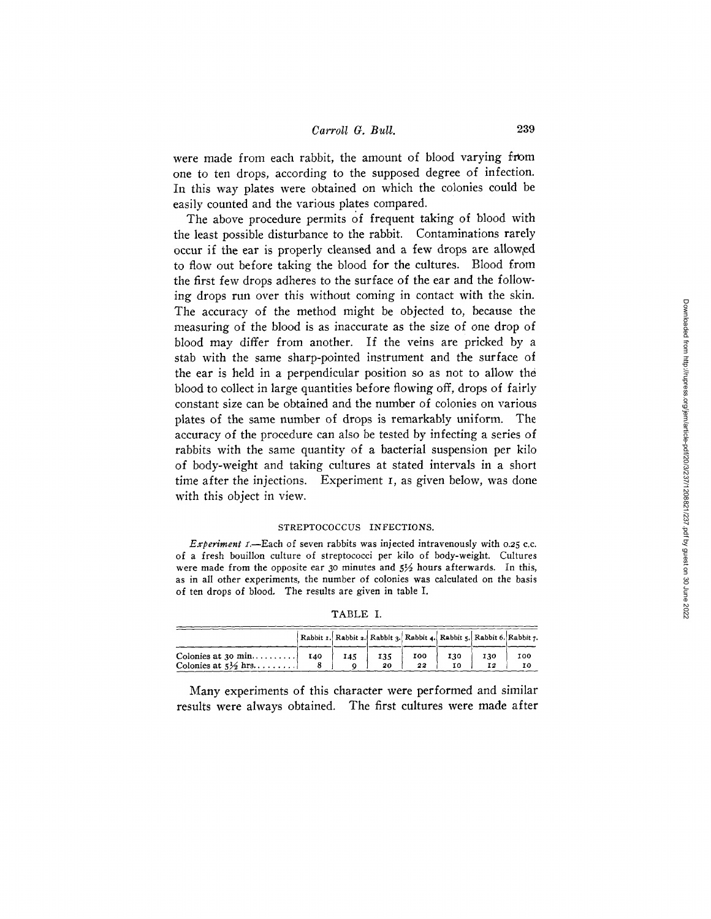were made from each rabbit, the amount of blood varying from one to ten drops, according to the supposed degree of infection. In this way plates were obtained on which the colonies could be easily counted and the various plates compared.

The above procedure permits of frequent taking of blood with the least possible disturbance to the rabbit. Contaminations rarely occur if the ear is properly cleansed and a few drops are allowed to flow out before taking the blood for the cultures. Blood from the first few drops adheres to the surface of the ear and the following drops run over this without coming in contact with the skin. The accuracy of the method might be objected to, because the measuring of the blood is as inaccurate as the size of one drop of blood may differ from another. If the veins are pricked by a stab with the same sharp-pointed instrument and the surface of the ear is held in a perpendicular position so as not to allow the blood to collect in large quantities before flowing off, drops of fairly constant size can be obtained and the number of colonies on various plates of the same number of drops is remarkably uniform. The accuracy of the procedure can also be tested by infecting a series of rabbits with the same quantity of a bacterial suspension per kilo of body-weight and taking cultures at stated intervals in a short time after the injections. Experiment I, as given below, was done with this object in view.

#### STREPTOCOCCUS INFECTIONS.

*Experiment I.*-Each of seven rabbits was injected intravenously with 0.25 c.c. of a fresh bouillon culture of streptococci per kilo of body-weight. Cultures were made from the opposite ear 30 minutes and  $5\frac{1}{2}$  hours afterwards. In this, as in all other experiments, the number of colonies was calculated on the basis of ten drops of blood, The results are given in table I.

| TABLE |  |
|-------|--|
|-------|--|

|                                | Rabbit 1. Rabbit 2. Rabbit 3. Rabbit 4. Rabbit 5. Rabbit 6. Rabbit 7. |     |           |                  |           |     |     |
|--------------------------------|-----------------------------------------------------------------------|-----|-----------|------------------|-----------|-----|-----|
| Colonies at $5\frac{1}{2}$ hrs |                                                                       | 145 | 135<br>20 | <b>100</b><br>22 | 130<br>10 | 130 | 100 |

Many experiments of this character were performed and similar results were always obtained. The first cultures were made after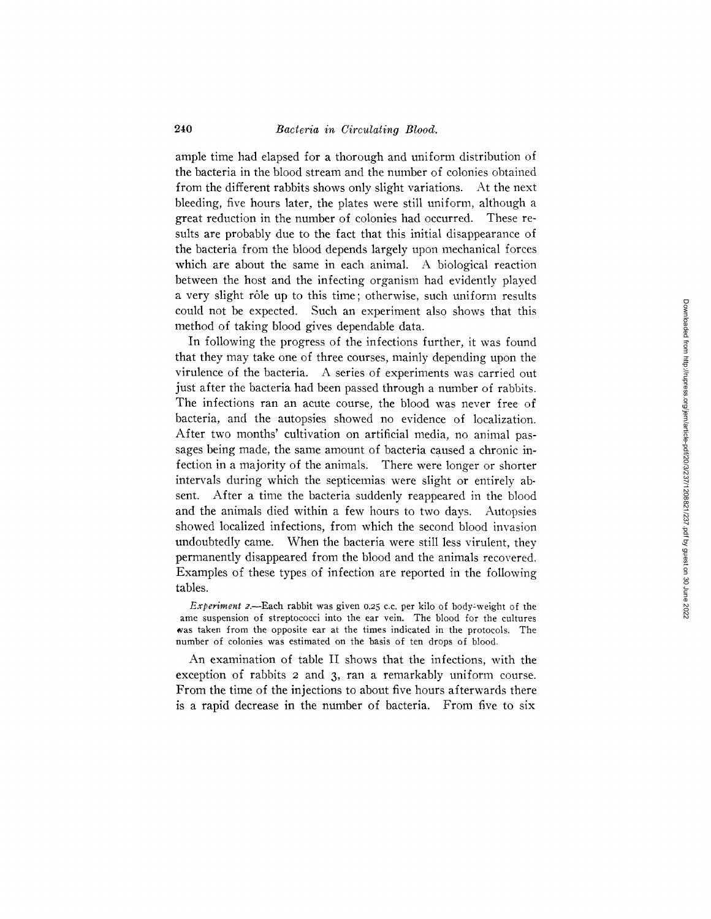ample time had elapsed for a thorough and uniform distribution of the bacteria in the blood stream and the number of colonies obtained from the different rabbits shows only slight variations. At the next bleeding, five hours later, the plates were still uniform, although a great reduction in the number of colonies had occurred. These results are probably due to the fact that this initial disappearance of the bacteria from the blood depends largely upon mechanical forces which are about the same in each animal. A biological reaction between the host and the infecting organism had evidently played a very slight rôle up to this time; otherwise, such uniform results could not be expected. Such an experiment also shows that this method of taking blood gives dependable data.

In following the progress of the infections further, it was found that they may take one of three courses, mainly depending upon the virulence of the bacteria. A series of experiments was carried out just after the bacteria had been passed through a number of rabbits. The infections ran an acute course, the blood was never free of bacteria, and the autopsies showed no evidence of localization. After two months' cultivation on artificial media, no animal passages being made, the same amount of bacteria caused a chronic infection in a majority of the animals. There were longer or shorter intervals during which the septicemias were slight or entirely absent. After a time the bacteria suddenly reappeared in the blood and the animals died within a few hours to two days. Autopsies showed localized infections, from which the second blood invasion undoubtedly came. When the bacteria were still less virulent, they permanently disappeared from the blood and the animals recovered. Examples of these types of infection are reported in the following tables.

*Experiment 2.*--Each rabbit was given 0.25 c.c. per kilo of body-weight of the ame suspension of streptococci into the ear vein. The blood for the cultures ~vas taken from the opposite ear at the times indicated in the protocols. The number of colonies was estimated on the basis of ten drops of blood.

An examination of table II shows that the infections, with the exception of rabbits 2 and 3, ran a remarkably uniform course. From the time of the injections to about five hours afterwards there is a rapid decrease in the number of bacteria. From five to six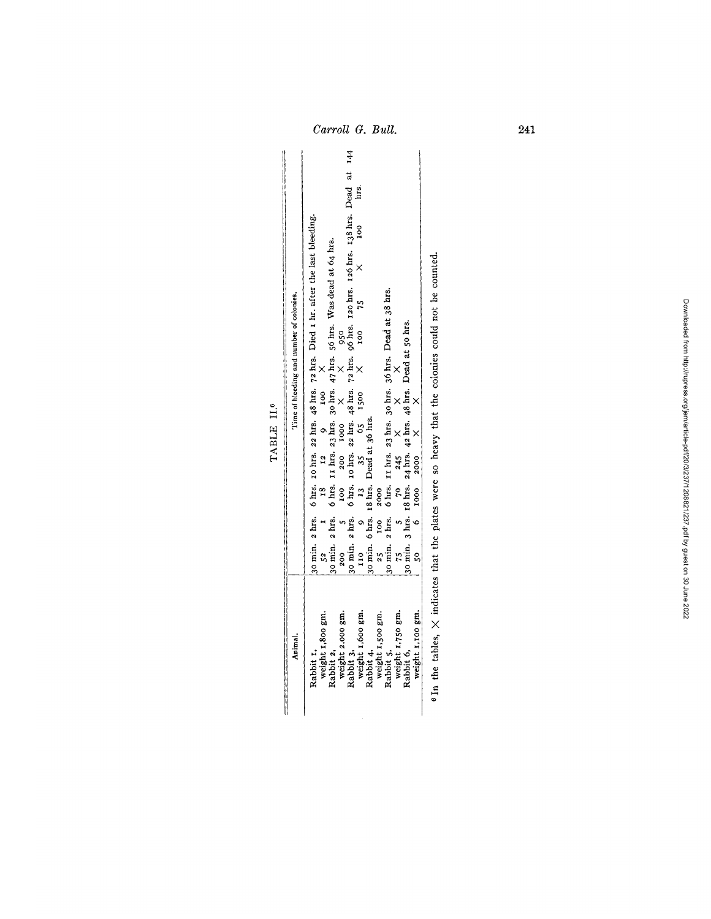| í      |
|--------|
| Ŀ<br>Ľ |
| ۳<br>ŕ |
|        |

| Animal.          | l'ime of bleeding and number of colonies.                                                                                                                                                                                                                                                                                                                                                                                                                                                                                                                                                                                                                         |
|------------------|-------------------------------------------------------------------------------------------------------------------------------------------------------------------------------------------------------------------------------------------------------------------------------------------------------------------------------------------------------------------------------------------------------------------------------------------------------------------------------------------------------------------------------------------------------------------------------------------------------------------------------------------------------------------|
| Rabbit 1,        | 6 hrs. 10 hrs. 22 hrs. 48 hrs. 72 hrs. Died 1 hr. after the last bleeding.                                                                                                                                                                                                                                                                                                                                                                                                                                                                                                                                                                                        |
| weight 1,800 gm. |                                                                                                                                                                                                                                                                                                                                                                                                                                                                                                                                                                                                                                                                   |
| Rabbit 2,        | 56 hrs. Was dead at 64 hrs.<br>950<br>96 hrs. 120 hrs. 126 hrs. 138 hrs. Dead at 144<br>100 75 ×<br>$\begin{array}{ l l } \hline s_2 & 1 & 18 & 12 & 9 & 100 & \times \ 30 \text{ min. } 2 \text{ hrs. } 6 \text{ hrs. } 11 \text{ hrs. } 23 \text{ hrs. } 30 \text{ hrs. } 47 \text{ hrs. } 56 \text{ hrs.} \text{ Was dead at 300} \\\hline 30 \text{ min. } 2 \text{ hrs. } 6 \text{ hrs.} 10 \text{ hrs. } 22 \text{ hrs. } 2 \text{ hrs. } 9 \text{ sys.} \\\hline 30 \text{ min. } 2 \text{ hrs. } 6 \text{ hrs. } 10 \text{ hrs$<br>$\begin{bmatrix} 30 \text{ min. } 2 \text{ hrs.} \\ 52 \phantom{.} 1 \\ 30 \text{ min. } 2 \text{ hrs.} \end{bmatrix}$ |
| weight 2,000 gm. |                                                                                                                                                                                                                                                                                                                                                                                                                                                                                                                                                                                                                                                                   |
| Rabbit 3,        |                                                                                                                                                                                                                                                                                                                                                                                                                                                                                                                                                                                                                                                                   |
| weight 1,600 gm. |                                                                                                                                                                                                                                                                                                                                                                                                                                                                                                                                                                                                                                                                   |
| Rabbit 4,        |                                                                                                                                                                                                                                                                                                                                                                                                                                                                                                                                                                                                                                                                   |
| weight 1,500 gm. |                                                                                                                                                                                                                                                                                                                                                                                                                                                                                                                                                                                                                                                                   |
| Rabbit 5,        |                                                                                                                                                                                                                                                                                                                                                                                                                                                                                                                                                                                                                                                                   |
| weight 1,750 gm. |                                                                                                                                                                                                                                                                                                                                                                                                                                                                                                                                                                                                                                                                   |
| Rabbit 6,        |                                                                                                                                                                                                                                                                                                                                                                                                                                                                                                                                                                                                                                                                   |
| weight 1,100 gm. |                                                                                                                                                                                                                                                                                                                                                                                                                                                                                                                                                                                                                                                                   |

 $\div$  $\frac{8}{2}$ **8**  o **8 o**  X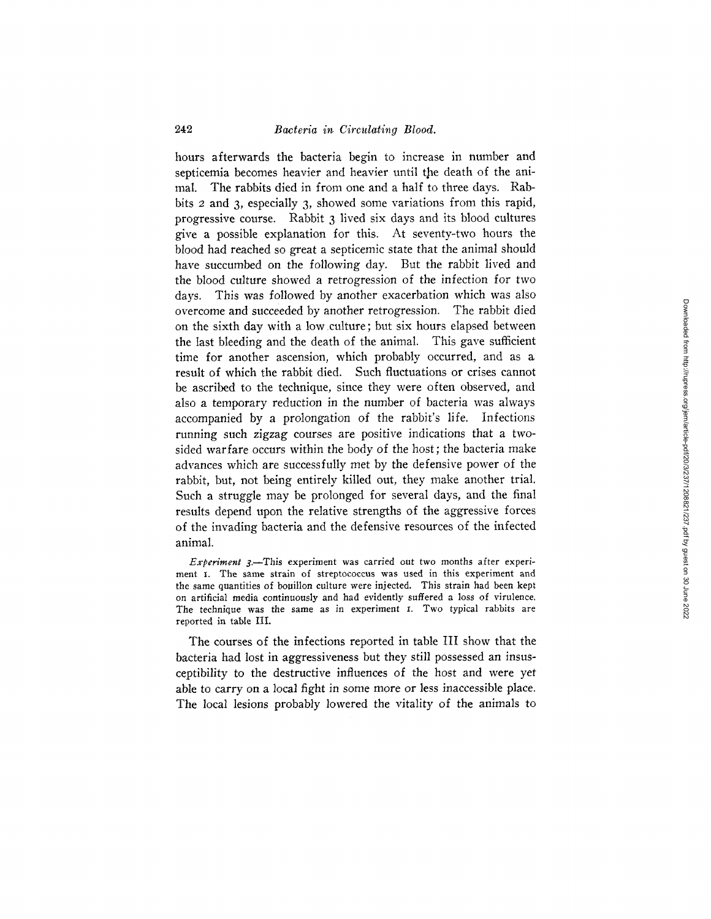hours afterwards the bacteria begin to increase in number and septicemia becomes heavier and heavier until the death of the animal. The rabbits died in from one and a half to three days. Rabbits 2 and 3, especially 3, showed some variations from this rapid, progressive course. Rabbit 3 lived six days and its blood cultures give a possible explanation for this. At seventy-two hours the blood had reached so great a septicemic state that the animal should have succumbed on the following day. But the rabbit lived and the blood culture showed a retrogression of the infection for two days. This was followed by another exacerbation which was also overcome and succeeded by another retrogression. The rabbit died on the sixth day with a low culture; but six hours elapsed between the last bleeding and the death of the animal. This gave sufficient time for another ascension, which probably occurred, and as a result of which the rabbit died. Such fluctuations or crises cannot be ascribed to the technique, since they were often observed, and also a temporary reduction in the number of bacteria was always accompanied by a prolongation of the rabbit's life. Infections running such zigzag courses are positive indications that a twosided warfare occurs within the body of the host; the bacteria make advances which are successfully met by the defensive power of the rabbit, but, not being entirely killed out, they make another trial. Such a struggle may be prolonged for several days, and the final results depend upon the relative strengths of the aggressive forces of the invading bacteria and the defensive resources of the infected animal.

*Experiment 3.*-This experiment was carried out two months after experiment I. The same strain of streptococcus was used in this experiment and the same quantities of bouillon culture were injected. This strain had been kept on artificial media continuously and had evidently suffered a loss of virulence. The technique was the same as in experiment I. Two typical rabbits are reported in table III.

The courses of the infections reported in table III show that the bacteria had lost in aggressiveness but they still possessed an insusceptibility to the destructive influences of the host and were yet able to carry on a local fight in some more or less inaccessible place. The local lesions probably lowered the vitality of the animals to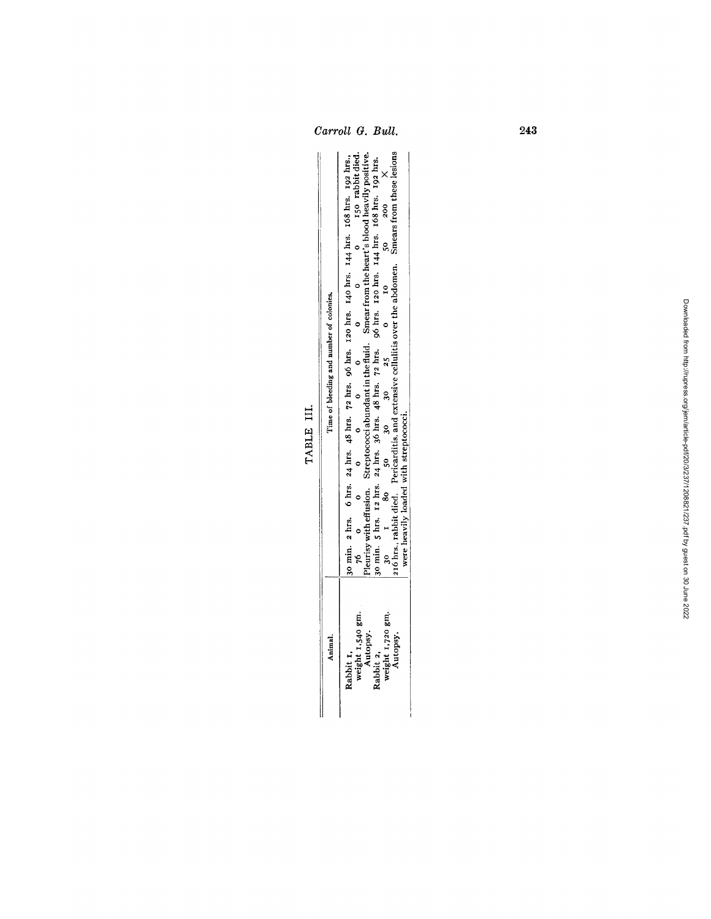*Carroll G. Bull.* 

| r<br>f<br>c<br>Ξ<br>Ļ |
|-----------------------|

| inimal.                                                                              | Time of bleeding and number of colonies.                                                                                                      |
|--------------------------------------------------------------------------------------|-----------------------------------------------------------------------------------------------------------------------------------------------|
| weight 1,540 gm.<br>weight 1,720 gm.<br>Autopsy.<br>Autopsy.<br>abbit I,<br>abbit 2, | 30 min. 2 hrs. 6 hrs. 24 hrs. 48 hrs. 72 hrs. 96 hrs. 120 hrs. 140 hrs. 144 hrs. 168 hrs. 192 hrs.,<br>were heavily loaded with streptococci. |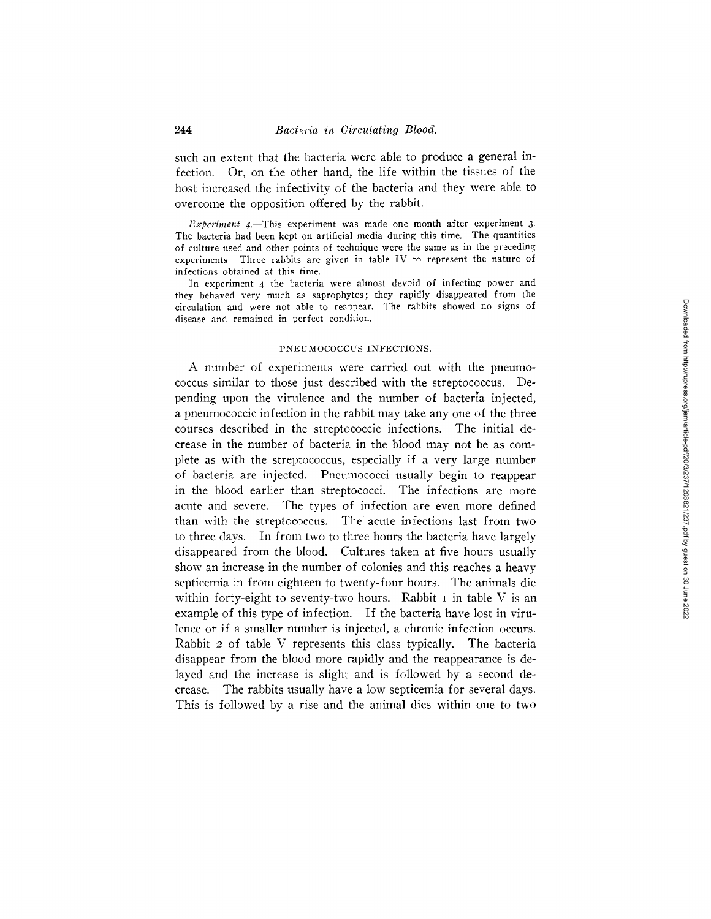such an extent that the bacteria were able to produce a general infection. Or, on the other hand, the life within the tissues of the host increased the infectivity of the bacteria and they were able to overcome the opposition offered by the rabbit.

*Experiment 4*.-This experiment was made one month after experiment 3. The bacteria had been kept on artificial media during this time. The quantities of culture used and other points of technique were the same as in the preceding experiments. Three rabbits are given in table IV to represent the nature of infections obtained at this time.

In experiment  $\Delta$  the bacteria were almost devoid of infecting power and they behaved very much as saprophytes; they rapidly disappeared from the circulation and were not able to reappear. The rabbits showed no signs of disease and remained in perfect condition.

#### PNEUMOCOCCUS INFECTIONS.

A number of experiments were carried out with the pneumococcus similar to those just described with the streptococcus. Depending upon the virulence and the number of bacteria injected. a pneumococcic infection in the rabbit may take any one of the three courses described in the streptococcic infections. The initial decrease in the number of bacteria in the blood may not be as complete as with the streptococcus, especially if a very large number of bacteria are injected. Pneumococci usually begin to reappear in the blood earlier than streptococci. The infections are more acute and severe. The types of infection are even more defined than with the streptococcus. The acute infections last from two to three days. In from two to three hours the bacteria have largely disappeared from the blood. Cultures taken at five hours usually show an increase in the number of colonies and this reaches a heavy septicemia in from eighteen to twenty-four hours. The animals die within forty-eight to seventy-two hours. Rabbit I in table V is an example of this type of infection. If the bacteria have lost in virulence or if a smaller number is injected, a chronic infection occurs. Rabbit 2 of table V represents this class typically. The bacteria disappear from the blood more rapidly and the reappearance is delayed and the increase is slight and is followed by a second decrease. The rabbits usually have a low septicemia for several days. This is followed by a rise and the animal dies within one to two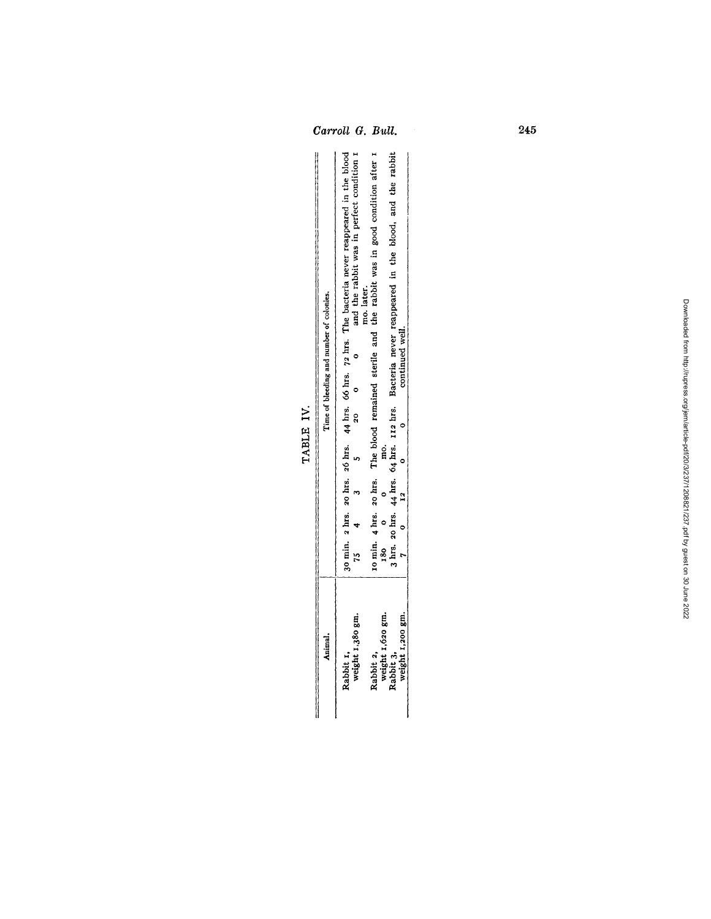*Carroll G. Bull.* 

| Ì.                           |  |
|------------------------------|--|
| 띠<br>l<br>J,<br>p.<br>ï<br>۹ |  |

| Animal.                       |  |             |                            |  | Time of bleeding and number of colonies.                                                                                                                        |  |
|-------------------------------|--|-------------|----------------------------|--|-----------------------------------------------------------------------------------------------------------------------------------------------------------------|--|
| weight 1,380 gm.<br>tabbit I, |  |             | 75 $4$ 3 $5$ 0 0           |  | 30 min. 2 hrs. 20 hrs. 26 hrs. 44 hrs. 66 hrs. 72 hrs. The bacteria never reappeared in the blood<br>and the rabbit was in perfect condition I<br>later.<br>mo. |  |
| weight 1,620 gm.<br>abbit 2,  |  | $180$ 0 mo. |                            |  | ro min. 4 hrs. 20 hrs. The blood remained sterile and the rabbit was in good condition after 1                                                                  |  |
| weight 1,200 gm.<br>Rabbit 3. |  |             | 7 0 12 0 0 continued well. |  | 3 hrs. 20 hrs. 44 hrs. 64 hrs. 112 hrs. Bacteria never reappeared in the blood, and the rabbit                                                                  |  |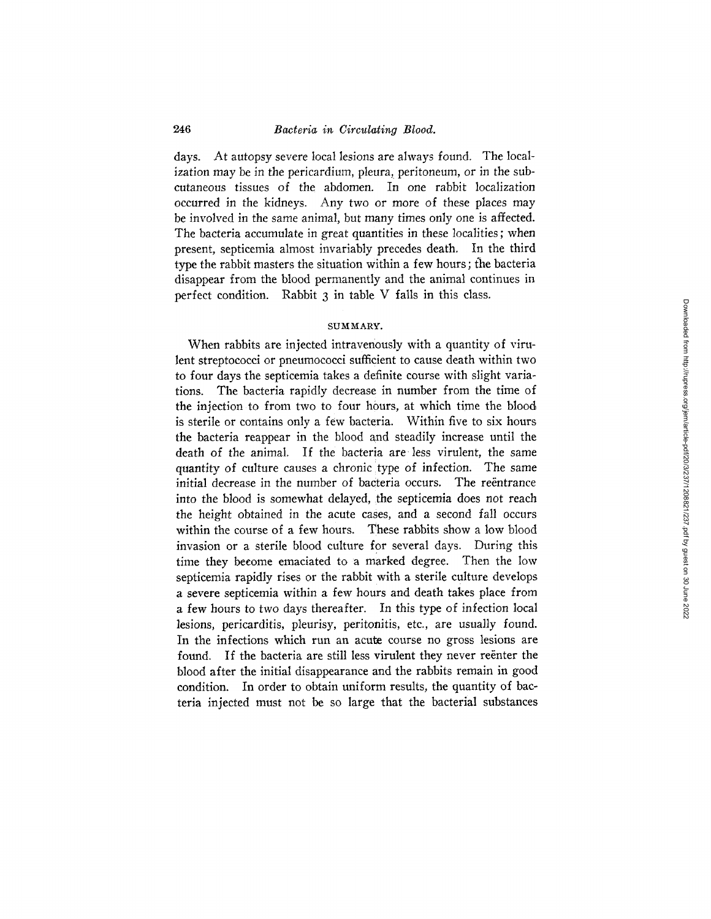days. At autopsy severe local lesions are always found. The localization may be in the pericardium, pleura, peritoneum, or in the subcutaneous tissues of the abdomen. In one rabbit localization occurred in the kidneys. Any two or more of these places may be involved in the same animal, but many times only one is affected. The bacteria accumulate in great quantities in these localities; when present, septicemia almost invariably precedes death. In the third type the rabbit masters the situation within a few hours; (he bacteria disappear from the blood permanently and the animal continues in perfect condition. Rabbit 3 in table V falls in this class.

## SUMMARY.

When rabbits are injected intravenously with a quantity of virulent streptococci or pneumococci sufficient to cause death within two to four days the septicemia takes a definite course with slight variations. The bacteria rapidly decrease in number from the time of the injection to from two to four hours, at which time the blood is sterile or contains only a few bacteria. Within five to six hours the bacteria reappear in the blood and steadily increase until the death of the animal. If the bacteria are less virulent, the same quantity of culture causes a chronic type of infection. The same initial decrease in the number of bacteria occurs. The reëntrance into the blood is somewhat delayed, the septicemia does not reach the height obtained in the acute cases, and a second fall occurs within the course of a few hours. These rabbits show a low blood invasion or a sterile blood culture for several days. During this time they become emaciated to a marked degree. Then the low septicemia rapidly rises or the rabbit with a sterile culture develops a severe septicemia within a few hours and death takes place from a few hours to two days thereafter. In this type of infection local lesions, pericarditis, pleurisy, peritonitis, etc., are usually found. In the infections which run an acute course no gross lesions are found. If the bacteria are still less virulent they never reenter the blood after the initial disappearance and the rabbits remain in good condition. In order to obtain uniform results, the quantity of bacteria injected must not be so large that the bacterial substances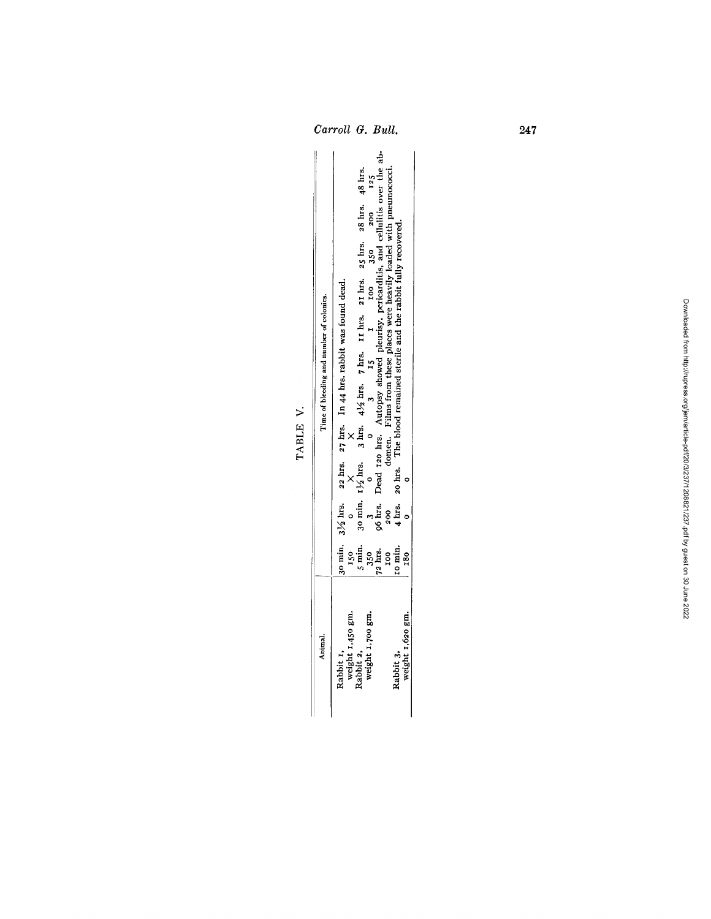*Carroll G. Bull.* 247

| Ľ<br>Ċ<br>∞<br>۴ |  |
|------------------|--|

| Animal.                                                                                         |                                                                                    |                            |  | Time of bleeding and number of colonies.                                                                                                                                                                                                                                                     |  |  |                                                                                                                                                                             |
|-------------------------------------------------------------------------------------------------|------------------------------------------------------------------------------------|----------------------------|--|----------------------------------------------------------------------------------------------------------------------------------------------------------------------------------------------------------------------------------------------------------------------------------------------|--|--|-----------------------------------------------------------------------------------------------------------------------------------------------------------------------------|
| weight 1,700 gm.<br>weight 1,450 gm.<br>weight 1,620 gm.<br>tabbit 1,<br>Rabbit 3.<br>Rabbit 2, | 30 min.<br>350<br>72 hrs.<br>150<br>5 min.<br>'to min.<br>180<br>$\frac{100}{100}$ | $30$ hrs.<br>4 hrs.<br>200 |  | domen. Films from these places were heavily loaded with pneumococci.<br>30 min. 11/2 hrs. 3 hrs. 41/2 hrs. 7 hrs. 11 hrs. 21 hrs. 25 hrs. 28 hrs. 48 hrs.<br>20 hrs. The blood remained sterile and the rabbit fully recovered<br>3/2 hrs. 22 hrs. 27 hrs. In 44 hrs. rabbit was found dead. |  |  | $\begin{array}{ccc}\n 0 & 0 & 3 \\ \text{Dead to } 120 \text{ hrs.} & \text{Autopay subord} \quad \text{pleurisy, pericarditis, and celluliits over the ab-} \n\end{array}$ |